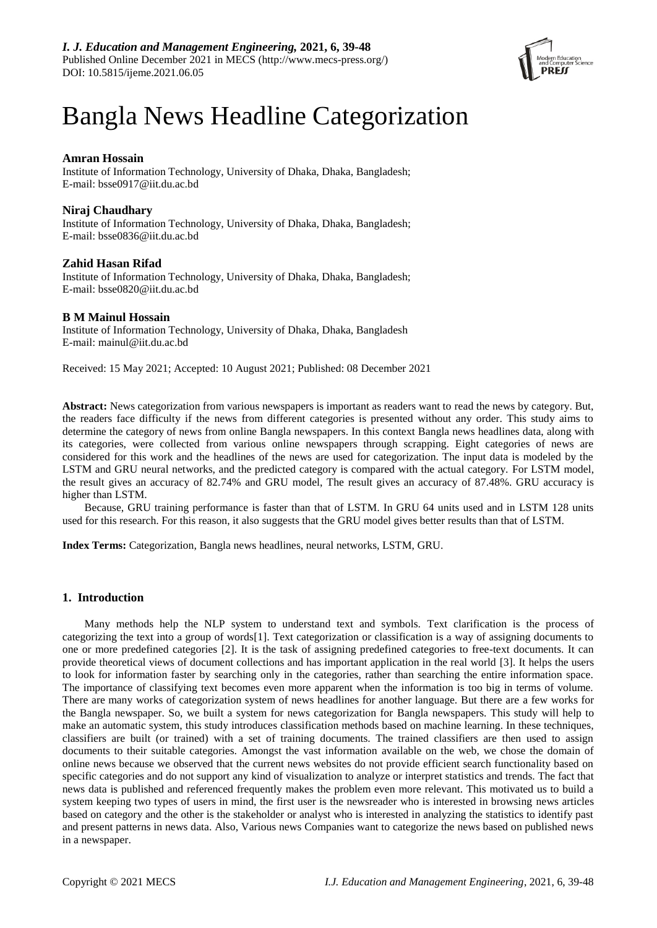

# Bangla News Headline Categorization

# **Amran Hossain**

Institute of Information Technology, University of Dhaka, Dhaka, Bangladesh; E-mail: bsse0917@iit.du.ac.bd

# **Niraj Chaudhary**

Institute of Information Technology, University of Dhaka, Dhaka, Bangladesh; E-mail: bsse0836@iit.du.ac.bd

# **Zahid Hasan Rifad**

Institute of Information Technology, University of Dhaka, Dhaka, Bangladesh; E-mail: bsse0820@iit.du.ac.bd

# **B M Mainul Hossain**

Institute of Information Technology, University of Dhaka, Dhaka, Bangladesh E-mail: mainul@iit.du.ac.bd

Received: 15 May 2021; Accepted: 10 August 2021; Published: 08 December 2021

**Abstract:** News categorization from various newspapers is important as readers want to read the news by category. But, the readers face difficulty if the news from different categories is presented without any order. This study aims to determine the category of news from online Bangla newspapers. In this context Bangla news headlines data, along with its categories, were collected from various online newspapers through scrapping. Eight categories of news are considered for this work and the headlines of the news are used for categorization. The input data is modeled by the LSTM and GRU neural networks, and the predicted category is compared with the actual category. For LSTM model, the result gives an accuracy of 82.74% and GRU model, The result gives an accuracy of 87.48%. GRU accuracy is higher than LSTM.

Because, GRU training performance is faster than that of LSTM. In GRU 64 units used and in LSTM 128 units used for this research. For this reason, it also suggests that the GRU model gives better results than that of LSTM.

**Index Terms:** Categorization, Bangla news headlines, neural networks, LSTM, GRU.

# **1. Introduction**

Many methods help the NLP system to understand text and symbols. Text clarification is the process of categorizing the text into a group of words[1]. Text categorization or classification is a way of assigning documents to one or more predefined categories [2]. It is the task of assigning predefined categories to free-text documents. It can provide theoretical views of document collections and has important application in the real world [3]. It helps the users to look for information faster by searching only in the categories, rather than searching the entire information space. The importance of classifying text becomes even more apparent when the information is too big in terms of volume. There are many works of categorization system of news headlines for another language. But there are a few works for the Bangla newspaper. So, we built a system for news categorization for Bangla newspapers. This study will help to make an automatic system, this study introduces classification methods based on machine learning. In these techniques, classifiers are built (or trained) with a set of training documents. The trained classifiers are then used to assign documents to their suitable categories. Amongst the vast information available on the web, we chose the domain of online news because we observed that the current news websites do not provide efficient search functionality based on specific categories and do not support any kind of visualization to analyze or interpret statistics and trends. The fact that news data is published and referenced frequently makes the problem even more relevant. This motivated us to build a system keeping two types of users in mind, the first user is the newsreader who is interested in browsing news articles based on category and the other is the stakeholder or analyst who is interested in analyzing the statistics to identify past and present patterns in news data. Also, Various news Companies want to categorize the news based on published news in a newspaper.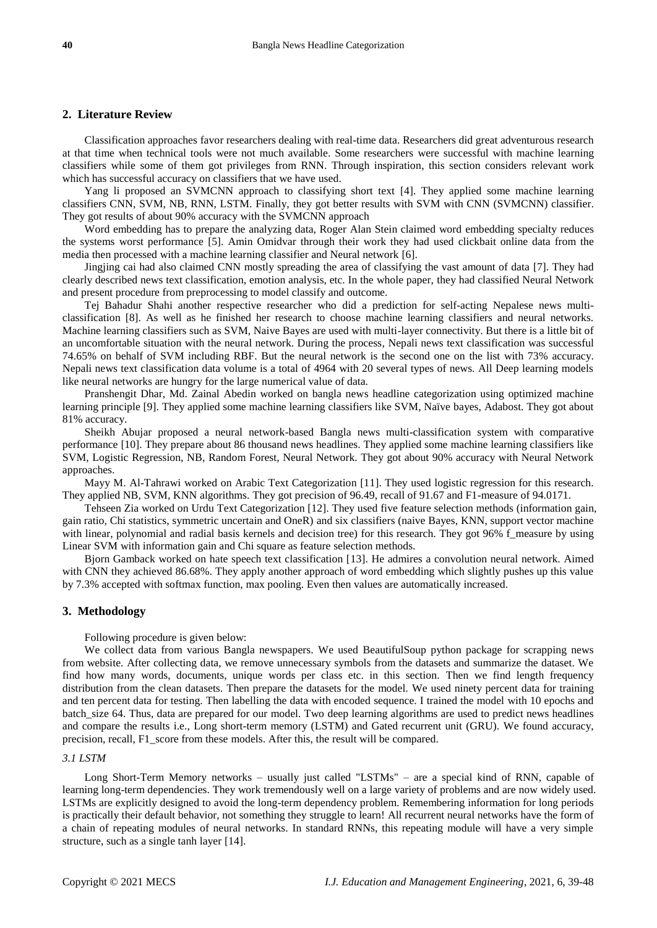# **2. Literature Review**

Classification approaches favor researchers dealing with real-time data. Researchers did great adventurous research at that time when technical tools were not much available. Some researchers were successful with machine learning classifiers while some of them got privileges from RNN. Through inspiration, this section considers relevant work which has successful accuracy on classifiers that we have used.

Yang li proposed an SVMCNN approach to classifying short text [4]. They applied some machine learning classifiers CNN, SVM, NB, RNN, LSTM. Finally, they got better results with SVM with CNN (SVMCNN) classifier. They got results of about 90% accuracy with the SVMCNN approach

Word embedding has to prepare the analyzing data, Roger Alan Stein claimed word embedding specialty reduces the systems worst performance [5]. Amin Omidvar through their work they had used clickbait online data from the media then processed with a machine learning classifier and Neural network [6].

Jingjing cai had also claimed CNN mostly spreading the area of classifying the vast amount of data [7]. They had clearly described news text classification, emotion analysis, etc. In the whole paper, they had classified Neural Network and present procedure from preprocessing to model classify and outcome.

Tej Bahadur Shahi another respective researcher who did a prediction for self-acting Nepalese news multiclassification [8]. As well as he finished her research to choose machine learning classifiers and neural networks. Machine learning classifiers such as SVM, Naive Bayes are used with multi-layer connectivity. But there is a little bit of an uncomfortable situation with the neural network. During the process, Nepali news text classification was successful 74.65% on behalf of SVM including RBF. But the neural network is the second one on the list with 73% accuracy. Nepali news text classification data volume is a total of 4964 with 20 several types of news. All Deep learning models like neural networks are hungry for the large numerical value of data.

Pranshengit Dhar, Md. Zainal Abedin worked on bangla news headline categorization using optimized machine learning principle [9]. They applied some machine learning classifiers like SVM, Na  $\ddot{v}$ e bayes, Adabost. They got about 81% accuracy.

Sheikh Abujar proposed a neural network-based Bangla news multi-classification system with comparative performance [10]. They prepare about 86 thousand news headlines. They applied some machine learning classifiers like SVM, Logistic Regression, NB, Random Forest, Neural Network. They got about 90% accuracy with Neural Network approaches.

Mayy M. Al-Tahrawi worked on Arabic Text Categorization [11]. They used logistic regression for this research. They applied NB, SVM, KNN algorithms. They got precision of 96.49, recall of 91.67 and F1-measure of 94.0171.

Tehseen Zia worked on Urdu Text Categorization [12]. They used five feature selection methods (information gain, gain ratio, Chi statistics, symmetric uncertain and OneR) and six classifiers (naive Bayes, KNN, support vector machine with linear, polynomial and radial basis kernels and decision tree) for this research. They got 96% f\_measure by using Linear SVM with information gain and Chi square as feature selection methods.

Bjorn Gamback worked on hate speech text classification [13]. He admires a convolution neural network. Aimed with CNN they achieved 86.68%. They apply another approach of word embedding which slightly pushes up this value by 7.3% accepted with softmax function, max pooling. Even then values are automatically increased.

## **3. Methodology**

Following procedure is given below:

We collect data from various Bangla newspapers. We used BeautifulSoup python package for scrapping news from website. After collecting data, we remove unnecessary symbols from the datasets and summarize the dataset. We find how many words, documents, unique words per class etc. in this section. Then we find length frequency distribution from the clean datasets. Then prepare the datasets for the model. We used ninety percent data for training and ten percent data for testing. Then labelling the data with encoded sequence. I trained the model with 10 epochs and batch\_size 64. Thus, data are prepared for our model. Two deep learning algorithms are used to predict news headlines and compare the results i.e., Long short-term memory (LSTM) and Gated recurrent unit (GRU). We found accuracy, precision, recall, F1\_score from these models. After this, the result will be compared.

# *3.1 LSTM*

Long Short-Term Memory networks – usually just called "LSTMs" – are a special kind of RNN, capable of learning long-term dependencies. They work tremendously well on a large variety of problems and are now widely used. LSTMs are explicitly designed to avoid the long-term dependency problem. Remembering information for long periods is practically their default behavior, not something they struggle to learn! All recurrent neural networks have the form of a chain of repeating modules of neural networks. In standard RNNs, this repeating module will have a very simple structure, such as a single tanh layer [14].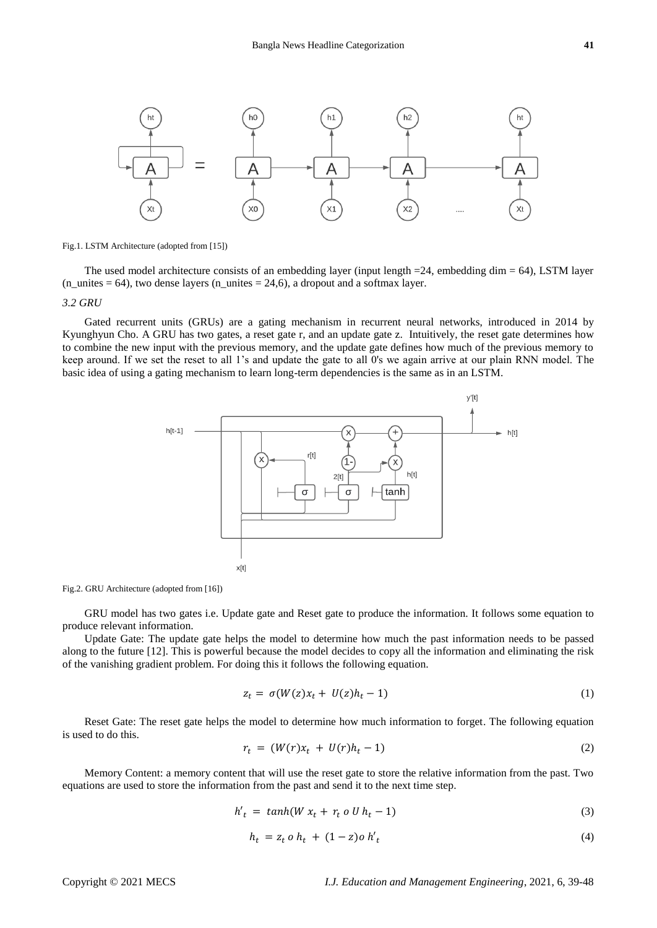

Fig.1. LSTM Architecture (adopted from [15])

The used model architecture consists of an embedding layer (input length =24, embedding dim = 64), LSTM layer  $(n_$ unites = 64), two dense layers  $(n_$ unites = 24,6), a dropout and a softmax layer.

#### *3.2 GRU*

Gated recurrent units (GRUs) are a gating mechanism in recurrent neural networks, introduced in 2014 by Kyunghyun Cho. A GRU has two gates, a reset gate r, and an update gate z. Intuitively, the reset gate determines how to combine the new input with the previous memory, and the update gate defines how much of the previous memory to keep around. If we set the reset to all 1's and update the gate to all 0's we again arrive at our plain RNN model. The basic idea of using a gating mechanism to learn long-term dependencies is the same as in an LSTM.



Fig.2. GRU Architecture (adopted from [16])

GRU model has two gates i.e. Update gate and Reset gate to produce the information. It follows some equation to produce relevant information.

Update Gate: The update gate helps the model to determine how much the past information needs to be passed along to the future [12]. This is powerful because the model decides to copy all the information and eliminating the risk of the vanishing gradient problem. For doing this it follows the following equation.

$$
z_t = \sigma(W(z)x_t + U(z)h_t - 1) \tag{1}
$$

Reset Gate: The reset gate helps the model to determine how much information to forget. The following equation is used to do this.

$$
r_t = (W(r)x_t + U(r)h_t - 1) \tag{2}
$$

Memory Content: a memory content that will use the reset gate to store the relative information from the past. Two equations are used to store the information from the past and send it to the next time step.

$$
h'_{t} = \tanh(W x_{t} + r_{t} o U h_{t} - 1) \tag{3}
$$

$$
h_t = z_t \, o \, h_t + (1 - z) o \, h'_t \tag{4}
$$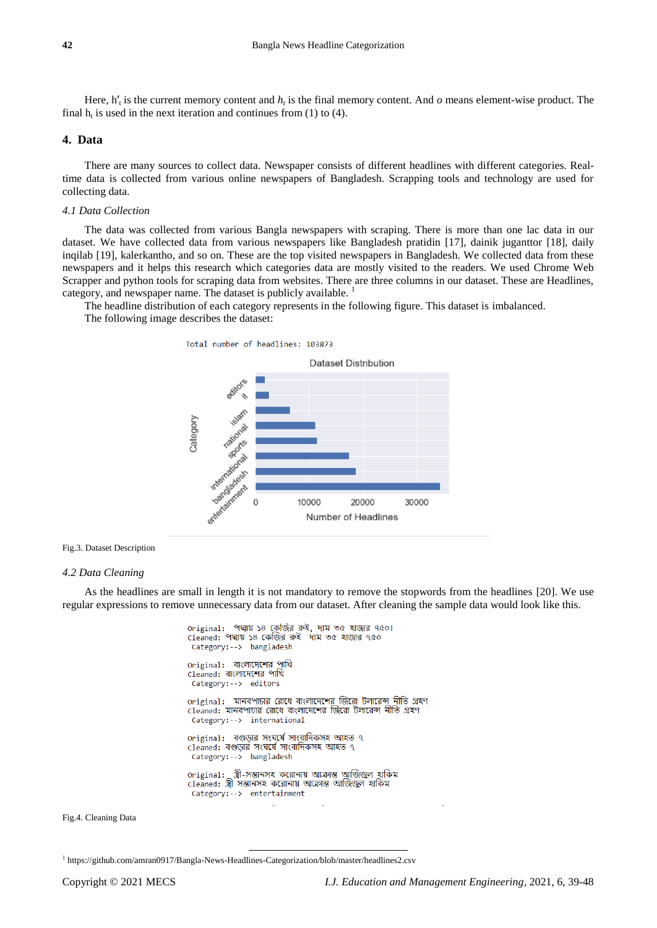Here,  $h'_t$  is the current memory content and  $h_t$  is the final memory content. And  $o$  means element-wise product. The final  $h_t$  is used in the next iteration and continues from (1) to (4).

# **4. Data**

There are many sources to collect data. Newspaper consists of different headlines with different categories. Realtime data is collected from various online newspapers of Bangladesh. Scrapping tools and technology are used for collecting data.

# *4.1 Data Collection*

The data was collected from various Bangla newspapers with scraping. There is more than one lac data in our dataset. We have collected data from various newspapers like Bangladesh pratidin [17], dainik juganttor [18], daily inqilab [19], kalerkantho, and so on. These are the top visited newspapers in Bangladesh. We collected data from these newspapers and it helps this research which categories data are mostly visited to the readers. We used Chrome Web Scrapper and python tools for scraping data from websites. There are three columns in our dataset. These are Headlines, category, and newspaper name. The dataset is publicly available. <sup>1</sup>

The headline distribution of each category represents in the following figure. This dataset is imbalanced. The following image describes the dataset:

> Total number of headlines: 103873 **Dataset Distribution** islam Category national nation international internations intertainment  $\Omega$ 10000 20000 30000 **Number of Headlines**

Fig.3. Dataset Description

## *4.2 Data Cleaning*

As the headlines are small in length it is not mandatory to remove the stopwords from the headlines [20]. We use regular expressions to remove unnecessary data from our dataset. After cleaning the sample data would look like this.

```
original: পদ্মায় ১৪ কেজির রুই, দাম ৩৫ হাজার ৭৫০!
cleaned: পদ্মায় ১৪ কেজির রুই দাম ৩৫ হাজার ৭৫০
 Category:--> bangladesh
original: বাংলাদেশের পাখি
cleaned: বাংলাদেশের পাখি
 Category:--> editors
original: মানবপাচার রোধে বাংলাদেশের জিরো টলারেন্স নীতি গ্রহণ
cleaned: মানবপাচার রোধে বাংলাদেশের জিরো টলারেন্স নীতি গ্রহণ
 Category: --> international
original: বগুড়ার সংঘ্র্যে সাংবাদিকসহ আহত ৭
cleaned: বগুড়ার সংঘর্ষে সাংবাদিকসহ আহত ৭
 Category:--> bangladesh
original:   স্ত্রী-সন্তানসহ করোনায় আক্রান্ত আজিজ্বল হাকিম<br>Cleaned:  স্ত্রী সন্তানসহ করোনায় আক্রান্ত আজিজ্বল হাকিম
 Category:--> entertainment
```
Fig.4. Cleaning Data

<sup>1</sup> https://github.com/amran0917/Bangla-News-Headlines-Categorization/blob/master/headlines2.csv

 $\overline{a}$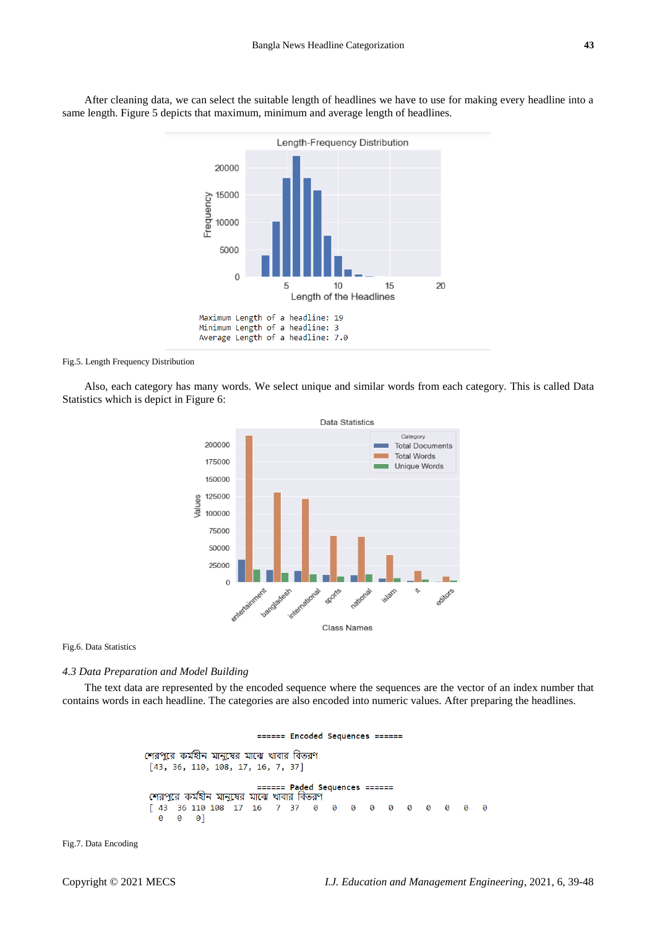

After cleaning data, we can select the suitable length of headlines we have to use for making every headline into a same length. Figure 5 depicts that maximum, minimum and average length of headlines.

#### Fig.5. Length Frequency Distribution

Also, each category has many words. We select unique and similar words from each category. This is called Data Statistics which is depict in Figure 6:



Fig.6. Data Statistics

## *4.3 Data Preparation and Model Building*

The text data are represented by the encoded sequence where the sequences are the vector of an index number that contains words in each headline. The categories are also encoded into numeric values. After preparing the headlines.

#### ====== Encoded Sequences ======

শেরপরে কর্মহীন মানুষের মাঝে খাবার বিতরণ  $[43, 36, 110, 108, 17, 16, 7, 37]$ ====== Paded Sequences **CODDED** শেরপুরে কর্মহীন মানুষের মাঝে খাবার বিতরণ [ 43 36 110 108 17 16 7 37  $\boldsymbol{\Theta}$ 0 0 0 0 0 0 0 Ø  $\theta$  $0 \quad 0 \quad 0$ ]

Fig.7. Data Encoding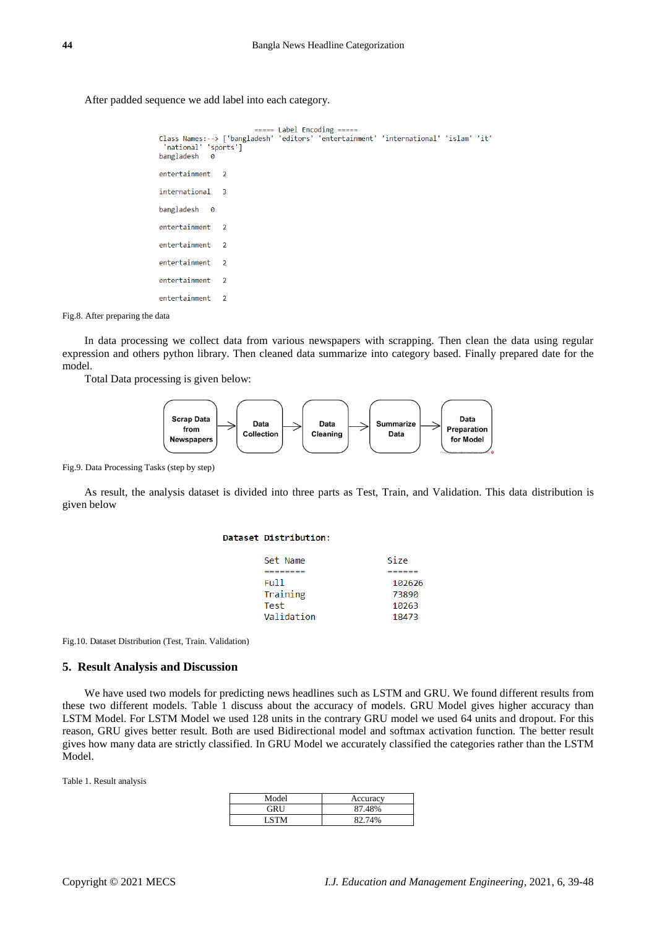## After padded sequence we add label into each category.

```
===== Label Encoding =====
Class Names:--> ['bangladesh' 'editors' 'entertainment' 'international' 'islam' 'it'
  'national'
                'sports']
bangladesh
                \alphaentertainment
                     \overline{2}international
                     \overline{3}bangladesh
                \overline{6}entertainment
                     \overline{2}entertainment
                     \overline{2}entertainment
                     \overline{2}entertainment
                     \overline{2}entertainment
                     \overline{2}
```
Fig.8. After preparing the data

In data processing we collect data from various newspapers with scrapping. Then clean the data using regular expression and others python library. Then cleaned data summarize into category based. Finally prepared date for the model.

Total Data processing is given below:



Fig.9. Data Processing Tasks (step by step)

As result, the analysis dataset is divided into three parts as Test, Train, and Validation. This data distribution is given below

#### Dataset Distribution:

| Set Name   | Size   |
|------------|--------|
|            |        |
| Ful 1      | 102626 |
| Training   | 73890  |
| Test       | 10263  |
| Validation | 18473  |
|            |        |

Fig.10. Dataset Distribution (Test, Train. Validation)

#### **5. Result Analysis and Discussion**

We have used two models for predicting news headlines such as LSTM and GRU. We found different results from these two different models. Table 1 discuss about the accuracy of models. GRU Model gives higher accuracy than LSTM Model. For LSTM Model we used 128 units in the contrary GRU model we used 64 units and dropout. For this reason, GRU gives better result. Both are used Bidirectional model and softmax activation function. The better result gives how many data are strictly classified. In GRU Model we accurately classified the categories rather than the LSTM Model.

Table 1. Result analysis

| Model | Accuracy |
|-------|----------|
| GRU   | 87.48%   |
| I STM | 82.74%   |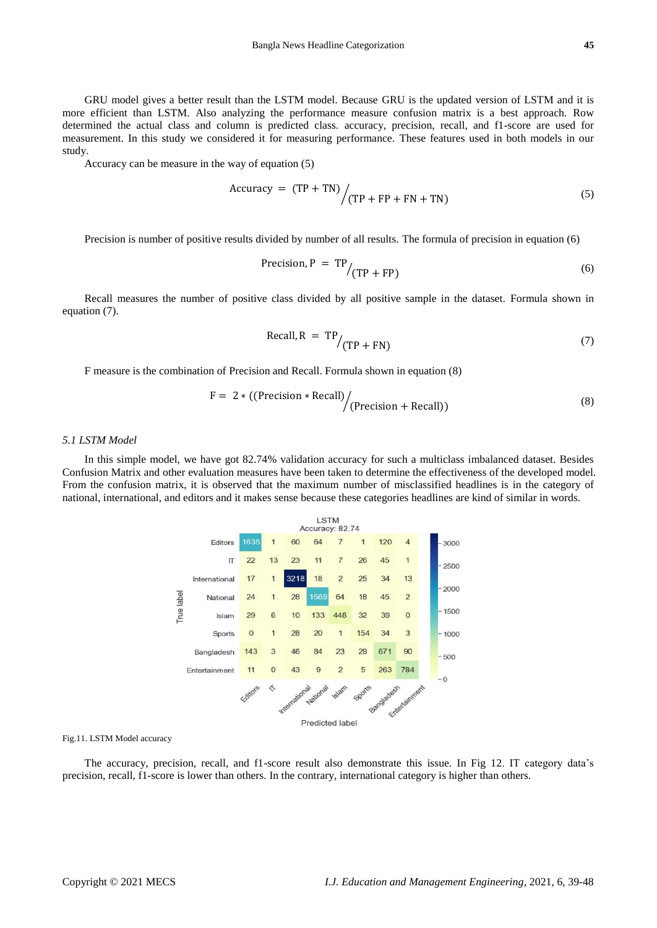GRU model gives a better result than the LSTM model. Because GRU is the updated version of LSTM and it is more efficient than LSTM. Also analyzing the performance measure confusion matrix is a best approach. Row determined the actual class and column is predicted class. accuracy, precision, recall, and f1-score are used for measurement. In this study we considered it for measuring performance. These features used in both models in our study.

Accuracy can be measure in the way of equation (5)

$$
Accuracy = (TP + TN) / (TP + FP + FN + TN)
$$
 (5)

Precision is number of positive results divided by number of all results. The formula of precision in equation (6)

$$
Precision, P = TP / (TP + FP)
$$
 (6)

Recall measures the number of positive class divided by all positive sample in the dataset. Formula shown in equation (7).

$$
Recall, R = TP / (TP + FN)
$$
 (7)

F measure is the combination of Precision and Recall. Formula shown in equation (8)

$$
F = 2 * ((Precision * Recall) / (Precision + Recall))
$$
\n(8)

## *5.1 LSTM Model*

In this simple model, we have got 82.74% validation accuracy for such a multiclass imbalanced dataset. Besides Confusion Matrix and other evaluation measures have been taken to determine the effectiveness of the developed model. From the confusion matrix, it is observed that the maximum number of misclassified headlines is in the category of national, international, and editors and it makes sense because these categories headlines are kind of similar in words.



Fig.11. LSTM Model accuracy

The accuracy, precision, recall, and f1-score result also demonstrate this issue. In Fig 12. IT category data's precision, recall, f1-score is lower than others. In the contrary, international category is higher than others.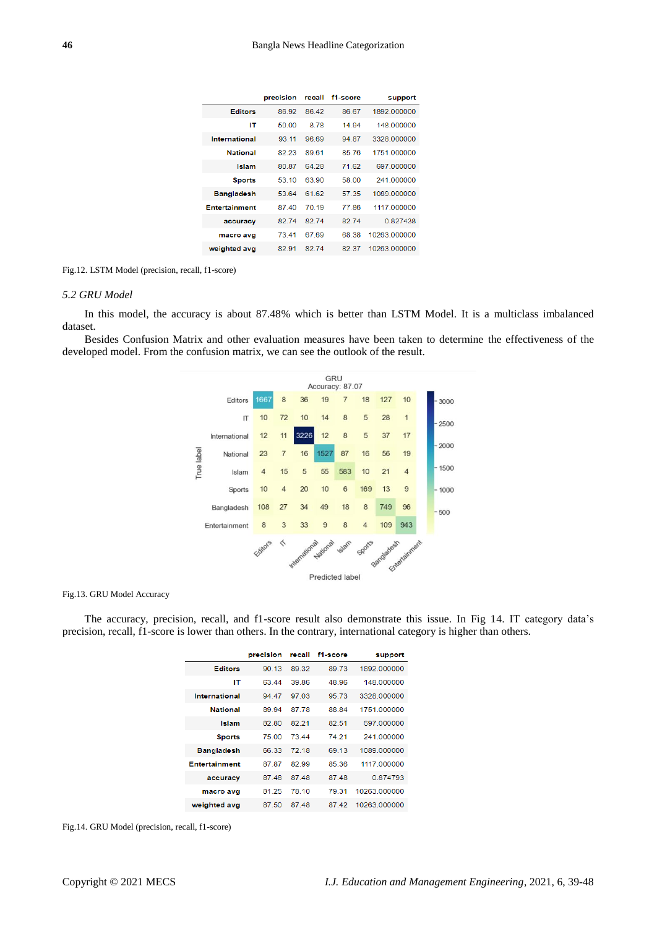|                      | precision | recall | f1-score | support      |
|----------------------|-----------|--------|----------|--------------|
| <b>Editors</b>       | 86.92     | 8642   | 86.67    | 1892 000000  |
| IΤ                   | 50.00     | 8.78   | 14 94    | 148 000000   |
| International        | 93 11     | 96.69  | 94 87    | 3328 000000  |
| <b>National</b>      | 82 23     | 8961   | 8576     | 1751 000000  |
| Islam                | 80 87     | 64 28  | 71.62    | 697 000000   |
| <b>Sports</b>        | 53 10     | 63 90  | 58.00    | 241 000000   |
| <b>Bangladesh</b>    | 53.64     | 61.62  | 57 35    | 1089 000000  |
| <b>Entertainment</b> | 8740      | 70 19  | 7786     | 1117 000000  |
| accuracy             | 8274      | 8274   | 82.74    | 0827438      |
| macro avg            | 73.41     | 67.69  | 68.38    | 10263 000000 |
| weighted avg         | 82.91     | 82.74  | 82.37    | 10263.000000 |

Fig.12. LSTM Model (precision, recall, f1-score)

## *5.2 GRU Model*

In this model, the accuracy is about 87.48% which is better than LSTM Model. It is a multiclass imbalanced dataset.

Besides Confusion Matrix and other evaluation measures have been taken to determine the effectiveness of the developed model. From the confusion matrix, we can see the outlook of the result.



Fig.13. GRU Model Accuracy

The accuracy, precision, recall, and f1-score result also demonstrate this issue. In Fig 14. IT category data's precision, recall, f1-score is lower than others. In the contrary, international category is higher than others.

|                      | precision | recall | f1-score | support      |
|----------------------|-----------|--------|----------|--------------|
| <b>Editors</b>       | 90.13     | 89.32  | 89 73    | 1892 000000  |
| IΤ                   | 63 44     | 39.86  | 48.96    | 148 000000   |
| International        | 94 47     | 97.03  | 95 73    | 3328 000000  |
| <b>National</b>      | 89 94     | 87 78  | 88.84    | 1751 000000  |
| <b>Islam</b>         | 82.80     | 82 21  | 82.51    | 697 000000   |
| <b>Sports</b>        | 75.00     | 73 44  | 74 21    | 241 000000   |
| <b>Bangladesh</b>    | 6633      | 72 18  | 69 13    | 1089.000000  |
| <b>Entertainment</b> | 87.87     | 82.99  | 85.36    | 1117 000000  |
| accuracy             | 8748      | 8748   | 8748     | 0874793      |
| macro avg            | 81.25     | 78.10  | 79.31    | 10263 000000 |
| weighted avg         | 87.50     | 87.48  | 87.42    | 10263.000000 |

Fig.14. GRU Model (precision, recall, f1-score)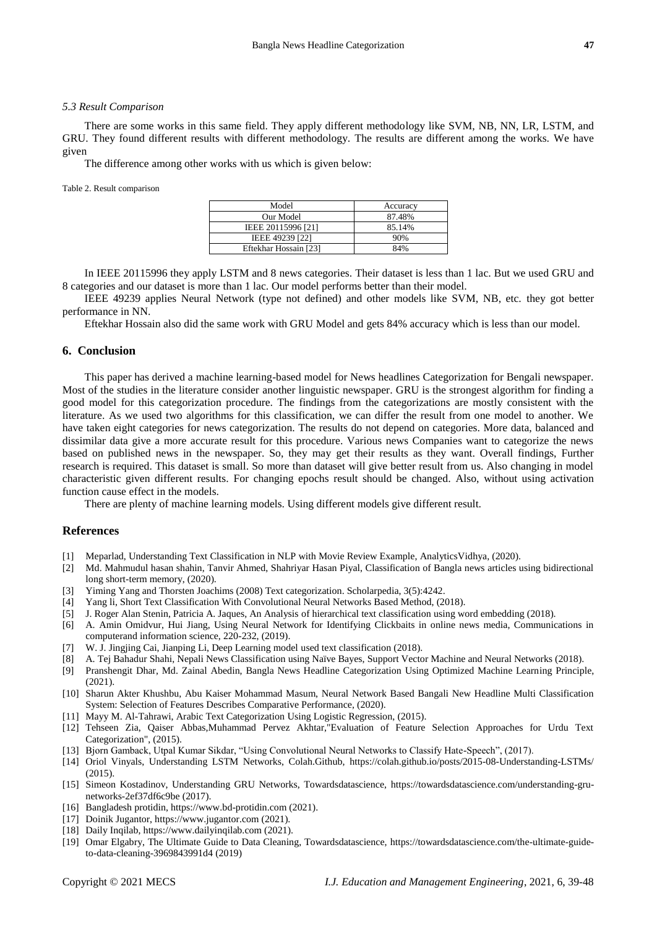#### *5.3 Result Comparison*

There are some works in this same field. They apply different methodology like SVM, NB, NN, LR, LSTM, and GRU. They found different results with different methodology. The results are different among the works. We have given

The difference among other works with us which is given below:

Table 2. Result comparison

| Model                 | Accuracy |
|-----------------------|----------|
| Our Model             | 87.48%   |
| IEEE 20115996 [21]    | 85.14%   |
| IEEE 49239 [22]       | 90%      |
| Eftekhar Hossain [23] | 84%      |

In IEEE 20115996 they apply LSTM and 8 news categories. Their dataset is less than 1 lac. But we used GRU and 8 categories and our dataset is more than 1 lac. Our model performs better than their model.

IEEE 49239 applies Neural Network (type not defined) and other models like SVM, NB, etc. they got better performance in NN.

Eftekhar Hossain also did the same work with GRU Model and gets 84% accuracy which is less than our model.

## **6. Conclusion**

This paper has derived a machine learning-based model for News headlines Categorization for Bengali newspaper. Most of the studies in the literature consider another linguistic newspaper. GRU is the strongest algorithm for finding a good model for this categorization procedure. The findings from the categorizations are mostly consistent with the literature. As we used two algorithms for this classification, we can differ the result from one model to another. We have taken eight categories for news categorization. The results do not depend on categories. More data, balanced and dissimilar data give a more accurate result for this procedure. Various news Companies want to categorize the news based on published news in the newspaper. So, they may get their results as they want. Overall findings, Further research is required. This dataset is small. So more than dataset will give better result from us. Also changing in model characteristic given different results. For changing epochs result should be changed. Also, without using activation function cause effect in the models.

There are plenty of machine learning models. Using different models give different result.

## **References**

- 
- [1] [Meparlad,](https://www.analyticsvidhya.com/blog/author/meparlad/) Understanding Text Classification in NLP with Movie Review Example, AnalyticsVidhya, (2020).<br>[2] Md. Mahmudul hasan shahin, Tanvir Ahmed. Shahriyar Hasan Divel Clear (1999). [2] Md. Mahmudul hasan shahin, Tanvir Ahmed, Shahriyar Hasan Piyal, Classification of Bangla news articles using bidirectional long short-term memory, (2020).
- [3] Yiming Yang and Thorsten Joachims (2008) Text categorization. Scholarpedia, 3(5):4242.
- [4] Yang li, Short Text Classification With Convolutional Neural Networks Based Method, (2018).
- [5] J. Roger Alan Stenin, Patricia A. Jaques, An Analysis of hierarchical text classification using word embedding (2018).
- [6] A. Amin Omidvur, Hui Jiang, Using Neural Network for Identifying Clickbaits in online news media, Communications in computerand information science, 220-232, (2019).
- [7] W. J. Jingjing Cai, Jianping Li, Deep Learning model used text classification (2018).
- [8] A. Tej Bahadur Shahi, Nepali News Classification using Naïve Bayes, Support Vector Machine and Neural Networks (2018).
- [9] Pranshengit Dhar, Md. Zainal Abedin, Bangla News Headline Categorization Using Optimized Machine Learning Principle, (2021).
- [10] Sharun Akter Khushbu, Abu Kaiser Mohammad Masum, Neural Network Based Bangali New Headline Multi Classification System: Selection of Features Describes Comparative Performance, (2020).
- [11] Mayy M. Al-Tahrawi, Arabic Text Categorization Using Logistic Regression, (2015).
- [12] Tehseen Zia, Qaiser Abbas,Muhammad Pervez Akhtar,"Evaluation of Feature Selection Approaches for Urdu Text Categorization", (2015).
- [13] Bjorn Gamback, Utpal Kumar Sikdar, "Using Convolutional Neural Networks to Classify Hate-Speech", (2017).
- [14] Oriol Vinyals, Understanding LSTM Networks, Colah.Github,<https://colah.github.io/posts/2015-08-Understanding-LSTMs/> (2015).
- [15] Simeon Kostadinov, Understanding GRU Networks, Towardsdatascience, [https://towardsdatascience.com/understanding-gru](https://towardsdatascience.com/understanding-gru-networks-2ef37df6c9be)[networks-2ef37df6c9be](https://towardsdatascience.com/understanding-gru-networks-2ef37df6c9be) (2017).
- [16] Bangladesh protidin, [https://www.bd-protidin.com](https://www.bd-protidin.com/) (2021).
- [17] Doinik Jugantor[, https://www.jugantor.com](https://www.jugantor.com/) (2021).
- [18] Daily Inqilab, [https://www.dailyinqilab.com](https://www.dailyinqilab.com/) (2021).
- [19] Omar Elgabry, The Ultimate Guide to Data Cleaning, Towardsdatascience, [https://towardsdatascience.com/the-ultimate-guide](https://towardsdatascience.com/the-ultimate-guide-to-data-cleaning-3969843991d4)[to-data-cleaning-3969843991d4](https://towardsdatascience.com/the-ultimate-guide-to-data-cleaning-3969843991d4) (2019)